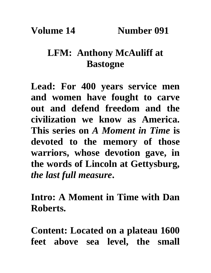**Volume 14 Number 091**

## **LFM: Anthony McAuliff at Bastogne**

**Lead: For 400 years service men and women have fought to carve out and defend freedom and the civilization we know as America. This series on** *A Moment in Time* **is devoted to the memory of those warriors, whose devotion gave, in the words of Lincoln at Gettysburg,**  *the last full measure***.**

**Intro: A Moment in Time with Dan Roberts.** 

**Content: Located on a plateau 1600 feet above sea level, the small**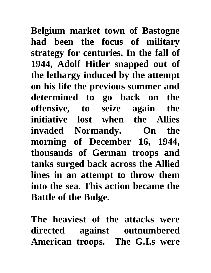**Belgium market town of Bastogne had been the focus of military strategy for centuries. In the fall of 1944, Adolf Hitler snapped out of the lethargy induced by the attempt on his life the previous summer and determined to go back on the offensive, to seize again the initiative lost when the Allies invaded Normandy. On the morning of December 16, 1944, thousands of German troops and tanks surged back across the Allied lines in an attempt to throw them into the sea. This action became the Battle of the Bulge.** 

**The heaviest of the attacks were directed against outnumbered American troops. The G.I.s were**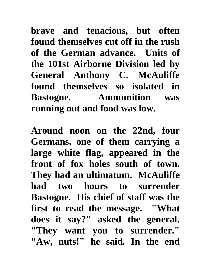**brave and tenacious, but often found themselves cut off in the rush of the German advance. Units of the 101st Airborne Division led by General Anthony C. McAuliffe found themselves so isolated in Bastogne. Ammunition was running out and food was low.** 

**Around noon on the 22nd, four Germans, one of them carrying a large white flag, appeared in the front of fox holes south of town. They had an ultimatum. McAuliffe had two hours to surrender Bastogne. His chief of staff was the first to read the message. "What does it say?" asked the general. "They want you to surrender." "Aw, nuts!" he said. In the end**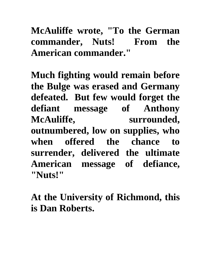## **McAuliffe wrote, "To the German commander, Nuts! From the American commander."**

**Much fighting would remain before the Bulge was erased and Germany defeated. But few would forget the defiant message of Anthony McAuliffe, surrounded, outnumbered, low on supplies, who when offered the chance to surrender, delivered the ultimate American message of defiance, "Nuts!"** 

**At the University of Richmond, this is Dan Roberts.**